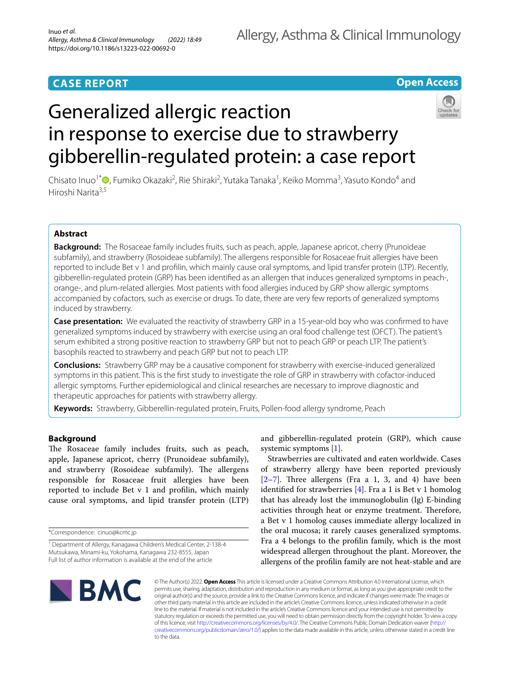# **CASE REPORT**

# **Open Access**

# Generalized allergic reaction in response to exercise due to strawberry gibberellin-regulated protein: a case report



Chisato Inuo<sup>1[\\*](http://orcid.org/0000-0001-8997-591X)</sup> <sup>(1</sup>, Fumiko Okazaki<sup>2</sup>, Rie Shiraki<sup>2</sup>, Yutaka Tanaka<sup>1</sup>, Keiko Momma<sup>3</sup>, Yasuto Kondo<sup>4</sup> and Hiroshi Narita3,5

# **Abstract**

**Background:** The Rosaceae family includes fruits, such as peach, apple, Japanese apricot, cherry (Prunoideae subfamily), and strawberry (Rosoideae subfamily). The allergens responsible for Rosaceae fruit allergies have been reported to include Bet v 1 and proflin, which mainly cause oral symptoms, and lipid transfer protein (LTP). Recently, gibberellin-regulated protein (GRP) has been identifed as an allergen that induces generalized symptoms in peach-, orange-, and plum-related allergies. Most patients with food allergies induced by GRP show allergic symptoms accompanied by cofactors, such as exercise or drugs. To date, there are very few reports of generalized symptoms induced by strawberry.

**Case presentation:** We evaluated the reactivity of strawberry GRP in a 15-year-old boy who was confrmed to have generalized symptoms induced by strawberry with exercise using an oral food challenge test (OFCT). The patient's serum exhibited a strong positive reaction to strawberry GRP but not to peach GRP or peach LTP. The patient's basophils reacted to strawberry and peach GRP but not to peach LTP.

**Conclusions:** Strawberry GRP may be a causative component for strawberry with exercise-induced generalized symptoms in this patient. This is the frst study to investigate the role of GRP in strawberry with cofactor-induced allergic symptoms. Further epidemiological and clinical researches are necessary to improve diagnostic and therapeutic approaches for patients with strawberry allergy.

**Keywords:** Strawberry, Gibberellin-regulated protein, Fruits, Pollen-food allergy syndrome, Peach

# **Background**

The Rosaceae family includes fruits, such as peach, apple, Japanese apricot, cherry (Prunoideae subfamily), and strawberry (Rosoideae subfamily). The allergens responsible for Rosaceae fruit allergies have been reported to include Bet v 1 and proflin, which mainly cause oral symptoms, and lipid transfer protein (LTP) and gibberellin-regulated protein (GRP), which cause systemic symptoms [[1\]](#page-3-0).

Strawberries are cultivated and eaten worldwide. Cases of strawberry allergy have been reported previously  $[2-7]$  $[2-7]$ . Three allergens (Fra a 1, 3, and 4) have been identifed for strawberries [\[4](#page-3-3)]. Fra a 1 is Bet v 1 homolog that has already lost the immunoglobulin (Ig) E-binding activities through heat or enzyme treatment. Therefore, a Bet v 1 homolog causes immediate allergy localized in the oral mucosa; it rarely causes generalized symptoms. Fra a 4 belongs to the proflin family, which is the most widespread allergen throughout the plant. Moreover, the allergens of the proflin family are not heat-stable and are



© The Author(s) 2022. **Open Access** This article is licensed under a Creative Commons Attribution 4.0 International License, which permits use, sharing, adaptation, distribution and reproduction in any medium or format, as long as you give appropriate credit to the original author(s) and the source, provide a link to the Creative Commons licence, and indicate if changes were made. The images or other third party material in this article are included in the article's Creative Commons licence, unless indicated otherwise in a credit line to the material. If material is not included in the article's Creative Commons licence and your intended use is not permitted by statutory regulation or exceeds the permitted use, you will need to obtain permission directly from the copyright holder. To view a copy of this licence, visit<http://creativecommons.org/licenses/by/4.0/>. The Creative Commons Public Domain Dedication waiver [\(http://](http://creativecommons.org/publicdomain/zero/1.0/) [creativecommons.org/publicdomain/zero/1.0/](http://creativecommons.org/publicdomain/zero/1.0/)) applies to the data made available in this article, unless otherwise stated in a credit line to the data.

<sup>\*</sup>Correspondence: cinuo@kcmc.jp

<sup>&</sup>lt;sup>1</sup> Department of Allergy, Kanagawa Children's Medical Center, 2-138-4 Mutsukawa, Minami-ku, Yokohama, Kanagawa 232-8555, Japan Full list of author information is available at the end of the article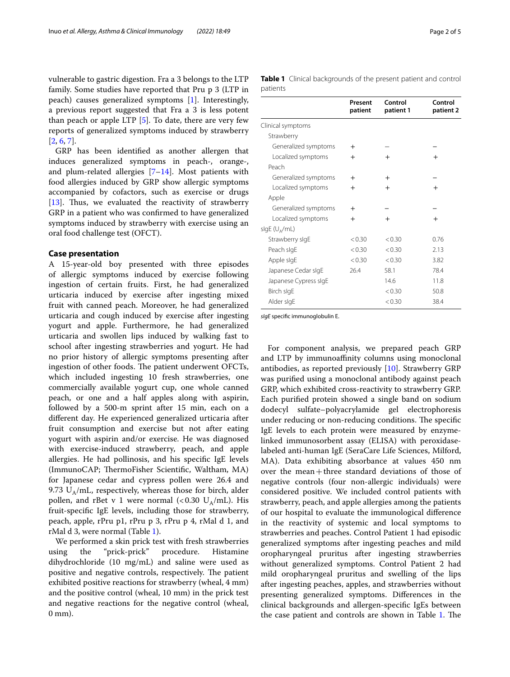vulnerable to gastric digestion. Fra a 3 belongs to the LTP family. Some studies have reported that Pru p 3 (LTP in peach) causes generalized symptoms [\[1](#page-3-0)]. Interestingly, a previous report suggested that Fra a 3 is less potent than peach or apple LTP  $[5]$  $[5]$ . To date, there are very few reports of generalized symptoms induced by strawberry [[2,](#page-3-1) [6](#page-3-5), [7\]](#page-3-2).

GRP has been identifed as another allergen that induces generalized symptoms in peach-, orange-, and plum-related allergies  $[7-14]$  $[7-14]$ . Most patients with food allergies induced by GRP show allergic symptoms accompanied by cofactors, such as exercise or drugs [[13\]](#page-4-1). Thus, we evaluated the reactivity of strawberry GRP in a patient who was confrmed to have generalized symptoms induced by strawberry with exercise using an oral food challenge test (OFCT).

### **Case presentation**

A 15-year-old boy presented with three episodes of allergic symptoms induced by exercise following ingestion of certain fruits. First, he had generalized urticaria induced by exercise after ingesting mixed fruit with canned peach. Moreover, he had generalized urticaria and cough induced by exercise after ingesting yogurt and apple. Furthermore, he had generalized urticaria and swollen lips induced by walking fast to school after ingesting strawberries and yogurt. He had no prior history of allergic symptoms presenting after ingestion of other foods. The patient underwent OFCTs, which included ingesting 10 fresh strawberries, one commercially available yogurt cup, one whole canned peach, or one and a half apples along with aspirin, followed by a 500-m sprint after 15 min, each on a diferent day. He experienced generalized urticaria after fruit consumption and exercise but not after eating yogurt with aspirin and/or exercise. He was diagnosed with exercise-induced strawberry, peach, and apple allergies. He had pollinosis, and his specifc IgE levels (ImmunoCAP; ThermoFisher Scientific, Waltham, MA) for Japanese cedar and cypress pollen were 26.4 and 9.73  $U_A/mL$ , respectively, whereas those for birch, alder pollen, and rBet v 1 were normal  $\langle$  <0.30 U<sub>A</sub>/mL). His fruit-specifc IgE levels, including those for strawberry, peach, apple, rPru p1, rPru p 3, rPru p 4, rMal d 1, and rMal d 3, were normal (Table [1\)](#page-1-0).

We performed a skin prick test with fresh strawberries using the "prick-prick" procedure. Histamine dihydrochloride (10 mg/mL) and saline were used as positive and negative controls, respectively. The patient exhibited positive reactions for strawberry (wheal, 4 mm) and the positive control (wheal, 10 mm) in the prick test and negative reactions for the negative control (wheal, 0 mm).

<span id="page-1-0"></span>

|          | Table 1 Clinical backgrounds of the present patient and control |  |  |  |
|----------|-----------------------------------------------------------------|--|--|--|
| patients |                                                                 |  |  |  |

|                           | Present<br>patient | Control<br>patient 1 | Control<br>patient 2 |
|---------------------------|--------------------|----------------------|----------------------|
| Clinical symptoms         |                    |                      |                      |
| Strawberry                |                    |                      |                      |
| Generalized symptoms      | $^{+}$             |                      |                      |
| Localized symptoms        | $^{+}$             | $^{+}$               | $^{+}$               |
| Peach                     |                    |                      |                      |
| Generalized symptoms      | $^{+}$             | $\pm$                |                      |
| Localized symptoms        | $^{+}$             | $^{+}$               | $^{+}$               |
| Apple                     |                    |                      |                      |
| Generalized symptoms      | $^{+}$             |                      |                      |
| Localized symptoms        | $^{+}$             | $^{+}$               | $^{+}$               |
| slgE (U <sub>A</sub> /mL) |                    |                      |                      |
| Strawberry sigE           | < 0.30             | < 0.30               | 0.76                 |
| Peach sigE                | < 0.30             | < 0.30               | 2.13                 |
| Apple sigE                | < 0.30             | < 0.30               | 3.82                 |
| Japanese Cedar sIgE       | 26.4               | 58.1                 | 78.4                 |
| Japanese Cypress sIgE     |                    | 14.6                 | 11.8                 |
| Birch sIgE                |                    | < 0.30               | 50.8                 |
| Alder sigE                |                    | < 0.30               | 38.4                 |
|                           |                    |                      |                      |

*sIgE* specifc immunoglobulin E.

For component analysis, we prepared peach GRP and LTP by immunoaffinity columns using monoclonal antibodies, as reported previously [\[10](#page-4-2)]. Strawberry GRP was purifed using a monoclonal antibody against peach GRP, which exhibited cross-reactivity to strawberry GRP. Each purifed protein showed a single band on sodium dodecyl sulfate–polyacrylamide gel electrophoresis under reducing or non-reducing conditions. The specific IgE levels to each protein were measured by enzymelinked immunosorbent assay (ELISA) with peroxidaselabeled anti-human IgE (SeraCare Life Sciences, Milford, MA). Data exhibiting absorbance at values 450 nm over the mean+three standard deviations of those of negative controls (four non-allergic individuals) were considered positive. We included control patients with strawberry, peach, and apple allergies among the patients of our hospital to evaluate the immunological diference in the reactivity of systemic and local symptoms to strawberries and peaches. Control Patient 1 had episodic generalized symptoms after ingesting peaches and mild oropharyngeal pruritus after ingesting strawberries without generalized symptoms. Control Patient 2 had mild oropharyngeal pruritus and swelling of the lips after ingesting peaches, apples, and strawberries without presenting generalized symptoms. Diferences in the clinical backgrounds and allergen-specifc IgEs between the case patient and controls are shown in Table [1.](#page-1-0) The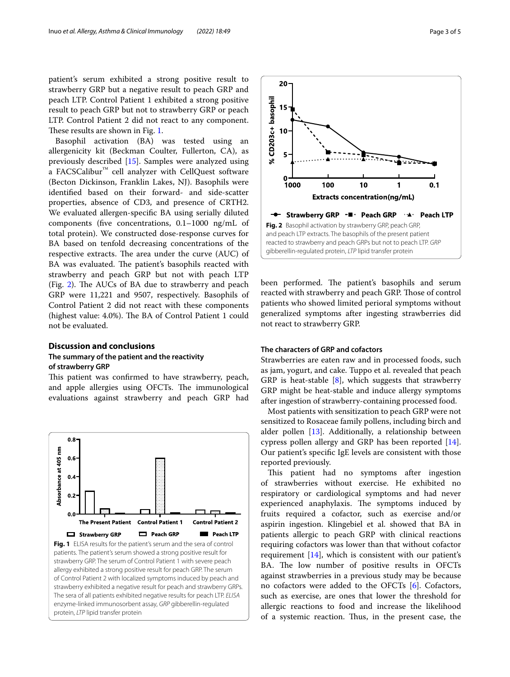patient's serum exhibited a strong positive result to strawberry GRP but a negative result to peach GRP and peach LTP. Control Patient 1 exhibited a strong positive result to peach GRP but not to strawberry GRP or peach LTP. Control Patient 2 did not react to any component. These results are shown in Fig. [1.](#page-2-0)

Basophil activation (BA) was tested using an allergenicity kit (Beckman Coulter, Fullerton, CA), as previously described [\[15](#page-4-3)]. Samples were analyzed using a FACSCalibur™ cell analyzer with CellQuest software (Becton Dickinson, Franklin Lakes, NJ). Basophils were identifed based on their forward- and side-scatter properties, absence of CD3, and presence of CRTH2. We evaluated allergen-specifc BA using serially diluted components (fve concentrations, 0.1–1000 ng/mL of total protein). We constructed dose-response curves for BA based on tenfold decreasing concentrations of the respective extracts. The area under the curve (AUC) of BA was evaluated. The patient's basophils reacted with strawberry and peach GRP but not with peach LTP (Fig. [2](#page-2-1)). The AUCs of BA due to strawberry and peach GRP were 11,221 and 9507, respectively. Basophils of Control Patient 2 did not react with these components (highest value:  $4.0\%$ ). The BA of Control Patient 1 could not be evaluated.

# **Discussion and conclusions The summary of the patient and the reactivity**

**of strawberry GRP**

This patient was confirmed to have strawberry, peach, and apple allergies using OFCTs. The immunological evaluations against strawberry and peach GRP had

<span id="page-2-0"></span>

CD203c+ basophil 15  $10$ 5  $\bar{\tilde{\mathbf{x}}}$  $\Omega$ 1000 100  $10$ 1  $0.1$ **Extracts concentration(ng/mL)** → Strawberry GRP - • Peach GRP · ▲ Peach LTP **Fig. 2** Basophil activation by strawberry GRP, peach GRP, and peach LTP extracts. The basophils of the present patient reacted to strawberry and peach GRPs but not to peach LTP. *GRP* gibberellin-regulated protein, *LTP* lipid transfer protein

<span id="page-2-1"></span>been performed. The patient's basophils and serum reacted with strawberry and peach GRP. Those of control patients who showed limited perioral symptoms without generalized symptoms after ingesting strawberries did not react to strawberry GRP.

# **The characters of GRP and cofactors**

 $20 -$ 

Strawberries are eaten raw and in processed foods, such as jam, yogurt, and cake. Tuppo et al. revealed that peach GRP is heat-stable  $[8]$  $[8]$ , which suggests that strawberry GRP might be heat-stable and induce allergy symptoms after ingestion of strawberry-containing processed food.

Most patients with sensitization to peach GRP were not sensitized to Rosaceae family pollens, including birch and alder pollen [[13\]](#page-4-1). Additionally, a relationship between cypress pollen allergy and GRP has been reported [\[14](#page-4-0)]. Our patient's specifc IgE levels are consistent with those reported previously.

This patient had no symptoms after ingestion of strawberries without exercise. He exhibited no respiratory or cardiological symptoms and had never experienced anaphylaxis. The symptoms induced by fruits required a cofactor, such as exercise and/or aspirin ingestion. Klingebiel et al. showed that BA in patients allergic to peach GRP with clinical reactions requiring cofactors was lower than that without cofactor requirement [\[14](#page-4-0)], which is consistent with our patient's BA. The low number of positive results in OFCTs against strawberries in a previous study may be because no cofactors were added to the OFCTs [[6\]](#page-3-5). Cofactors, such as exercise, are ones that lower the threshold for allergic reactions to food and increase the likelihood of a systemic reaction. Thus, in the present case, the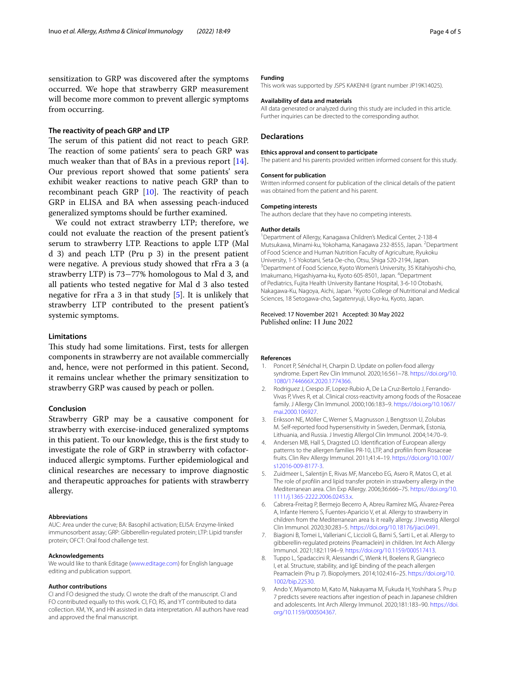sensitization to GRP was discovered after the symptoms occurred. We hope that strawberry GRP measurement will become more common to prevent allergic symptoms from occurring.

# **The reactivity of peach GRP and LTP**

The serum of this patient did not react to peach GRP. The reaction of some patients' sera to peach GRP was much weaker than that of BAs in a previous report [\[14](#page-4-0)]. Our previous report showed that some patients' sera exhibit weaker reactions to native peach GRP than to recombinant peach GRP  $[10]$ . The reactivity of peach GRP in ELISA and BA when assessing peach-induced generalized symptoms should be further examined.

We could not extract strawberry LTP; therefore, we could not evaluate the reaction of the present patient's serum to strawberry LTP. Reactions to apple LTP (Mal d 3) and peach LTP (Pru p 3) in the present patient were negative. A previous study showed that rFra a 3 (a strawberry LTP) is 73−77% homologous to Mal d 3, and all patients who tested negative for Mal d 3 also tested negative for rFra a 3 in that study [\[5](#page-3-4)]. It is unlikely that strawberry LTP contributed to the present patient's systemic symptoms.

# **Limitations**

This study had some limitations. First, tests for allergen components in strawberry are not available commercially and, hence, were not performed in this patient. Second, it remains unclear whether the primary sensitization to strawberry GRP was caused by peach or pollen.

## **Conclusion**

Strawberry GRP may be a causative component for strawberry with exercise-induced generalized symptoms in this patient. To our knowledge, this is the frst study to investigate the role of GRP in strawberry with cofactorinduced allergic symptoms. Further epidemiological and clinical researches are necessary to improve diagnostic and therapeutic approaches for patients with strawberry allergy.

### **Abbreviations**

AUC: Area under the curve; BA: Basophil activation; ELISA: Enzyme-linked immunosorbent assay; GRP: Gibberellin-regulated protein; LTP: Lipid transfer protein; OFCT: Oral food challenge test.

#### **Acknowledgements**

We would like to thank Editage ([www.editage.com\)](http://www.editage.com) for English language editing and publication support.

#### **Author contributions**

CI and FO designed the study. CI wrote the draft of the manuscript. CI and FO contributed equally to this work. CI, FO, RS, and YT contributed to data collection. KM, YK, and HN assisted in data interpretation. All authors have read and approved the fnal manuscript.

## **Funding**

This work was supported by JSPS KAKENHI (grant number JP19K14025).

## **Availability of data and materials**

All data generated or analyzed during this study are included in this article. Further inquiries can be directed to the corresponding author.

## **Declarations**

#### **Ethics approval and consent to participate**

The patient and his parents provided written informed consent for this study.

#### **Consent for publication**

Written informed consent for publication of the clinical details of the patient was obtained from the patient and his parent.

#### **Competing interests**

The authors declare that they have no competing interests.

#### **Author details**

<sup>1</sup> Department of Allergy, Kanagawa Children's Medical Center, 2-138-4 Mutsukawa, Minami-ku, Yokohama, Kanagawa 232-8555, Japan. <sup>2</sup>Department of Food Science and Human Nutrition Faculty of Agriculture, Ryukoku University, 1-5 Yokotani, Seta Oe-cho, Otsu, Shiga 520-2194, Japan. 3 <sup>3</sup> Department of Food Science, Kyoto Women's University, 35 Kitahiyoshi-cho, Imakumano, Higashiyama-ku, Kyoto 605-8501, Japan. <sup>4</sup>Department of Pediatrics, Fujita Health University Bantane Hospital, 3-6-10 Otobashi, Nakagawa-Ku, Nagoya, Aichi, Japan. <sup>5</sup> Kyoto College of Nutritional and Medical Sciences, 18 Setogawa-cho, Sagatenryuji, Ukyo-ku, Kyoto, Japan.

## Received: 17 November 2021 Accepted: 30 May 2022 Published online: 11 June 2022

#### **References**

- <span id="page-3-0"></span>1. Poncet P, Sénéchal H, Charpin D. Update on pollen-food allergy syndrome. Expert Rev Clin Immunol. 2020;16:561–78. [https://doi.org/10.](https://doi.org/10.1080/1744666X.2020.1774366) [1080/1744666X.2020.1774366.](https://doi.org/10.1080/1744666X.2020.1774366)
- <span id="page-3-1"></span>2. Rodriguez J, Crespo JF, Lopez-Rubio A, De La Cruz-Bertolo J, Ferrando-Vivas P, Vives R, et al. Clinical cross-reactivity among foods of the Rosaceae family. J Allergy Clin Immunol. 2000;106:183–9. [https://doi.org/10.1067/](https://doi.org/10.1067/mai.2000.106927) [mai.2000.106927](https://doi.org/10.1067/mai.2000.106927)
- 3. Eriksson NE, Möller C, Werner S, Magnusson J, Bengtsson U, Zolubas M. Self-reported food hypersensitivity in Sweden, Denmark, Estonia, Lithuania, and Russia. J Investig Allergol Clin Immunol. 2004;14:70–9.
- <span id="page-3-3"></span>4. Andersen MB, Hall S, Dragsted LO. Identifcation of European allergy patterns to the allergen families PR-10, LTP, and proflin from Rosaceae fruits. Clin Rev Allergy Immunol. 2011;41:4–19. [https://doi.org/10.1007/](https://doi.org/10.1007/s12016-009-8177-3) [s12016-009-8177-3.](https://doi.org/10.1007/s12016-009-8177-3)
- <span id="page-3-4"></span>5. Zuidmeer L, Salentijn E, Rivas MF, Mancebo EG, Asero R, Matos CI, et al. The role of proflin and lipid transfer protein in strawberry allergy in the Mediterranean area. Clin Exp Allergy. 2006;36:666–75. [https://doi.org/10.](https://doi.org/10.1111/j.1365-2222.2006.02453.x) [1111/j.1365-2222.2006.02453.x](https://doi.org/10.1111/j.1365-2222.2006.02453.x).
- <span id="page-3-5"></span>6. Cabrera-Freitag P, Bermejo Becerro A, Abreu Ramírez MG, Álvarez-Perea A, Infante Herrero S, Fuentes-Aparicio V, et al. Allergy to strawberry in children from the Mediterranean area Is it really allergy. J Investig Allergol Clin Immunol. 2020;30:283–5.<https://doi.org/10.18176/jiaci.0491>.
- <span id="page-3-2"></span>7. Biagioni B, Tomei L, Valleriani C, Liccioli G, Barni S, Sarti L, et al. Allergy to gibberellin-regulated proteins (Peamaclein) in children. Int Arch Allergy Immunol. 2021;182:1194–9.<https://doi.org/10.1159/000517413>.
- <span id="page-3-6"></span>8. Tuppo L, Spadaccini R, Alessandri C, Wienk H, Boelens R, Giangrieco I, et al. Structure, stability, and IgE binding of the peach allergen Peamaclein (Pru p 7). Biopolymers. 2014;102:416–25. [https://doi.org/10.](https://doi.org/10.1002/bip.22530) [1002/bip.22530](https://doi.org/10.1002/bip.22530).
- 9. Ando Y, Miyamoto M, Kato M, Nakayama M, Fukuda H, Yoshihara S. Pru p 7 predicts severe reactions after ingestion of peach in Japanese children and adolescents. Int Arch Allergy Immunol. 2020;181:183–90. [https://doi.](https://doi.org/10.1159/000504367) [org/10.1159/000504367](https://doi.org/10.1159/000504367).